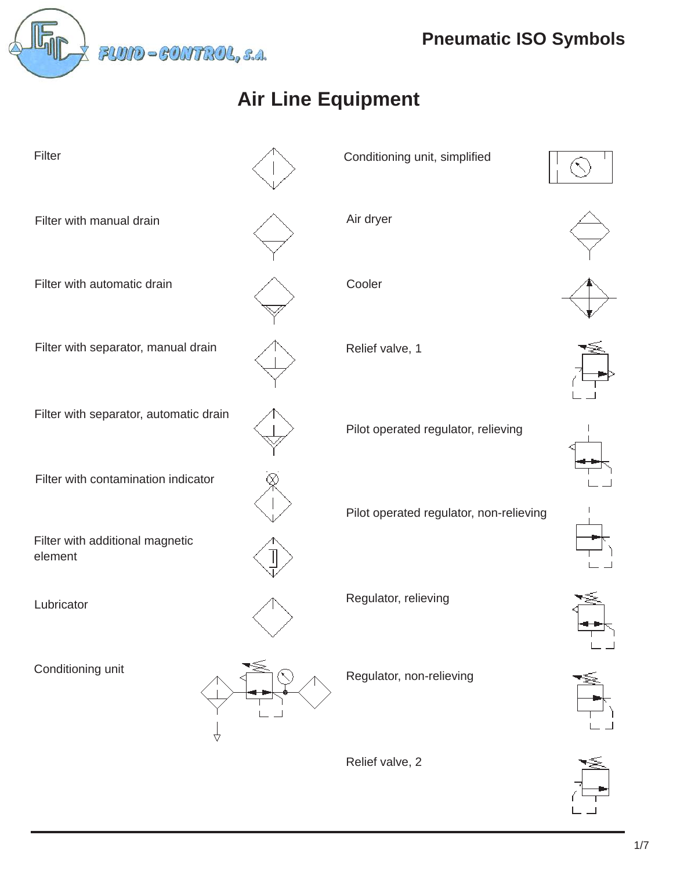

# **Air Line Equipment**



Conditioning unit, simplified

Cooler

Pilot operated regulator, relieving

Pilot operated regulator, non-relieving

Regulator, relieving

Regulator, non-relieving

Relief valve, 2















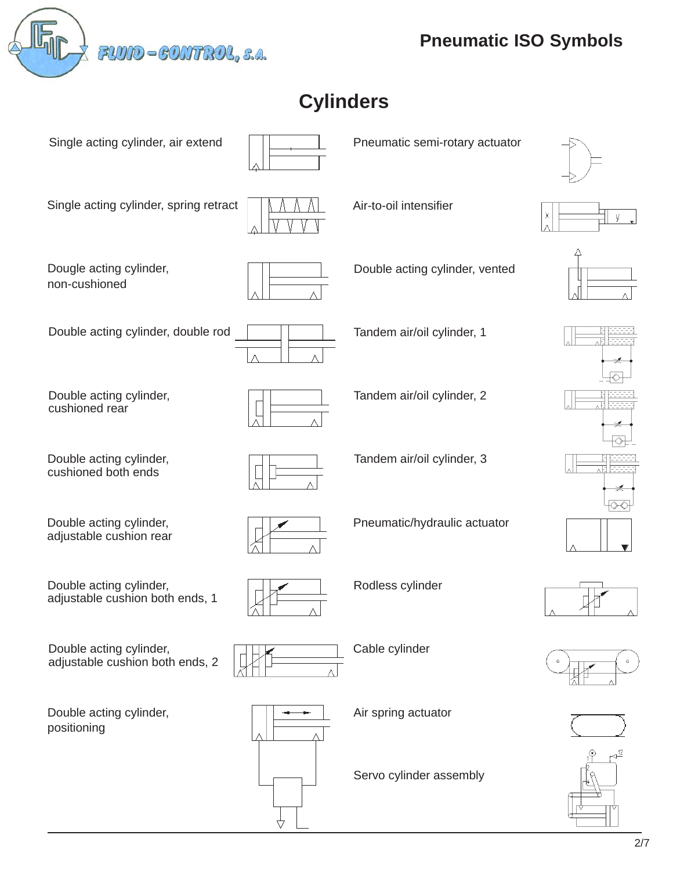

Single acting cylinder, air extend

Single acting cylinder, spring retract

## **Cylinders**



Pneumatic semi-rotary actuator





















Dougle acting cylinder, non-cushioned



Double acting cylinder, double rod  $\vert$   $\vert$   $\vert$  Tandem air/oil cylinder, 1

Air-to-oil intensifier

Double acting cylinder, vented

Double acting cylinder, cushioned rear

Double acting cylinder, cushioned both ends

Double acting cylinder, adjustable cushion rear

Tandem air/oil cylinder, 2

Tandem air/oil cylinder, 3

Pneumatic/hydraulic actuator



Rodless cylinder

Cable cylinder



Air spring actuator

Servo cylinder assembly







Double acting cylinder, adjustable cushion both ends, 1

Double acting cylinder, adjustable cushion both ends, 2

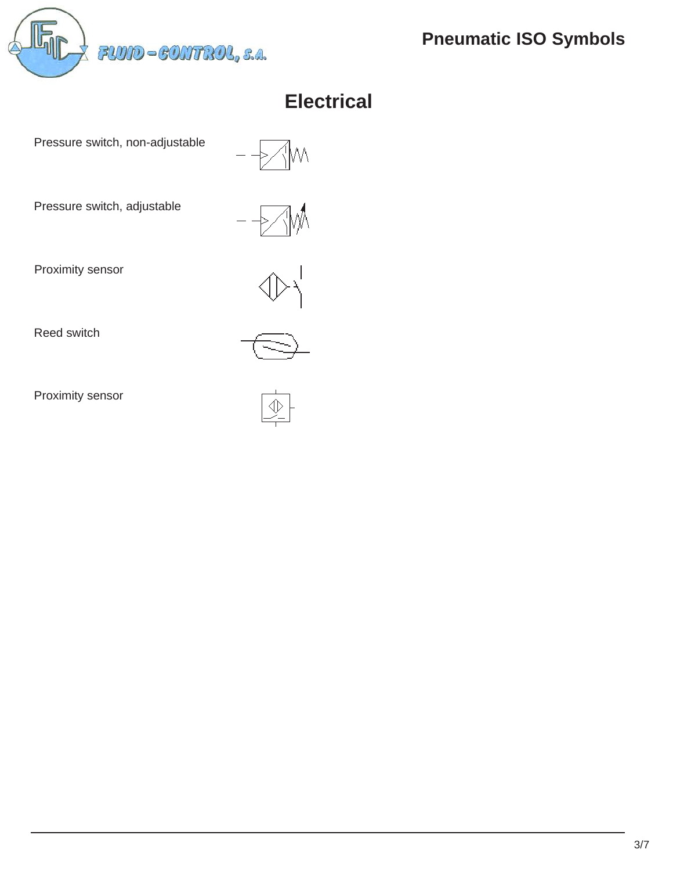FLUID-CONTROL, s.a.

**Pneumatic ISO Symbols**

## **Electrical**

Pressure switch, non-adjustable

Pressure switch, adjustable

Proximity sensor



Reed switch

Proximity sensor

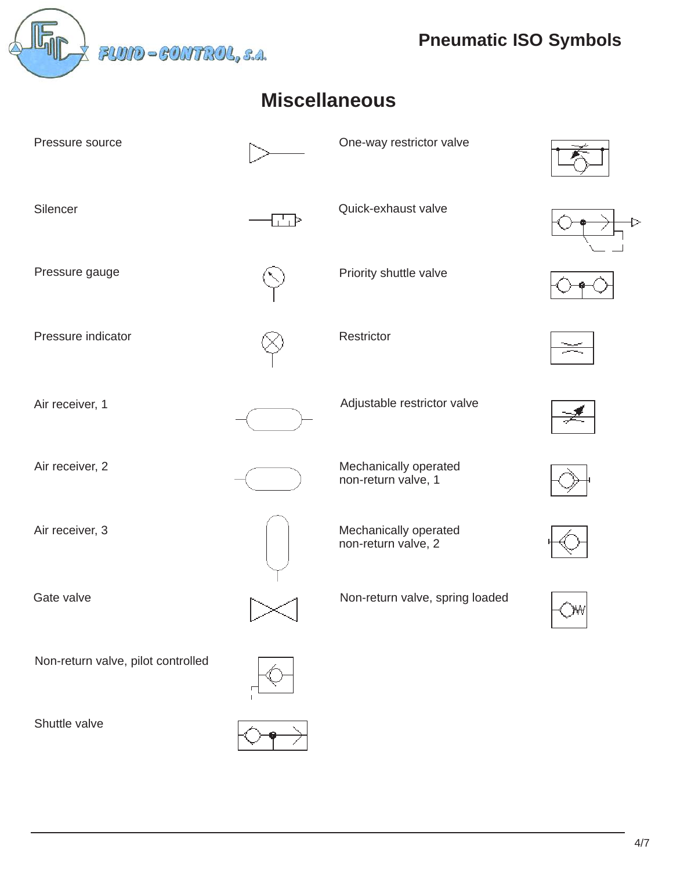**Pneumatic ISO Symbols**<br> *PLUID* - *CONTROL*, s.a.

### **Miscellaneous**

| Pressure source                    |    | One-way restrictor valve                     |  |
|------------------------------------|----|----------------------------------------------|--|
| Silencer                           | 古下 | Quick-exhaust valve                          |  |
| Pressure gauge                     |    | Priority shuttle valve                       |  |
| Pressure indicator                 |    | Restrictor                                   |  |
| Air receiver, 1                    |    | Adjustable restrictor valve                  |  |
| Air receiver, 2                    |    | Mechanically operated<br>non-return valve, 1 |  |
| Air receiver, 3                    |    | Mechanically operated<br>non-return valve, 2 |  |
| Gate valve                         |    | Non-return valve, spring loaded              |  |
| Non-return valve, pilot controlled |    |                                              |  |
| Shuttle valve                      |    |                                              |  |

4/7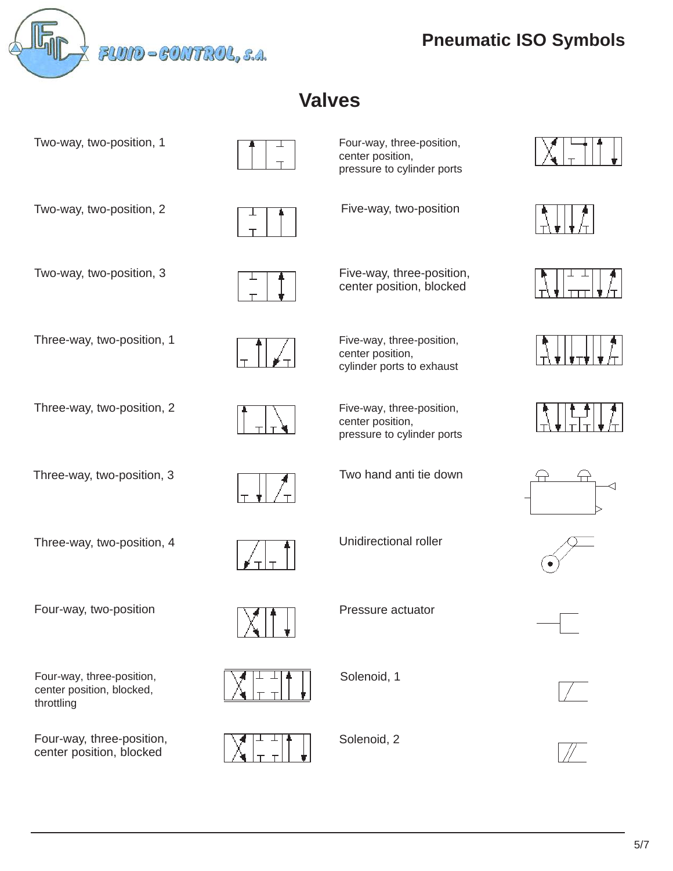

**Pneumatic ISO Symbols**

#### **Valves**

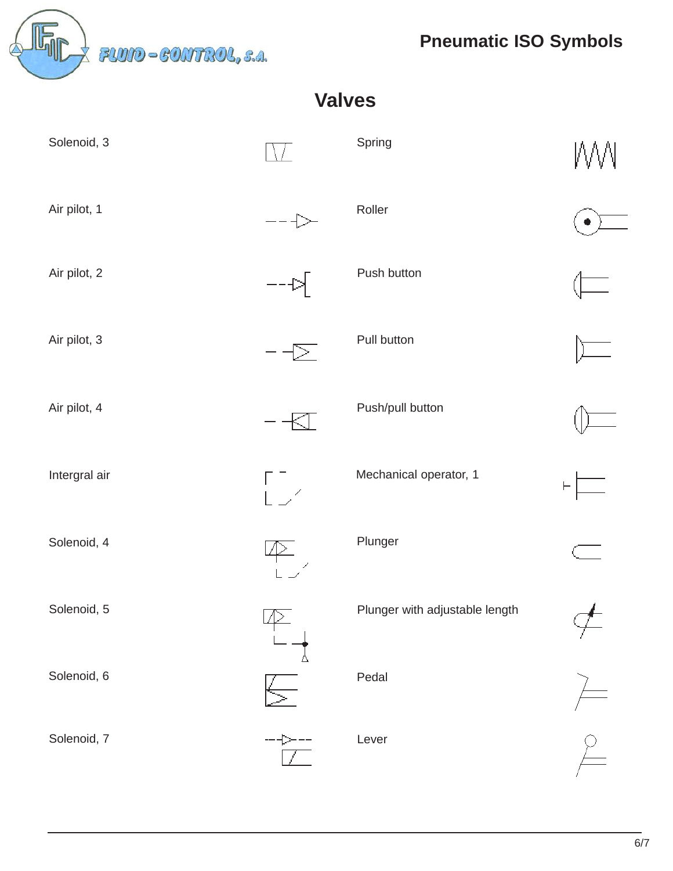*Pheumatic ISO Symbols*<br> *Pneumatic ISO Symbols* 

| <b>Valves</b> |           |                                |          |  |
|---------------|-----------|--------------------------------|----------|--|
| Solenoid, 3   |           | Spring                         | MМ       |  |
| Air pilot, 1  |           | Roller                         |          |  |
| Air pilot, 2  | 卜         | Push button                    |          |  |
| Air pilot, 3  | ▷.        | Pull button                    |          |  |
| Air pilot, 4  |           | Push/pull button               |          |  |
| Intergral air | ГГ<br>Liz | Mechanical operator, 1         | $\vdash$ |  |
| Solenoid, 4   |           | Plunger                        |          |  |
| Solenoid, 5   |           | Plunger with adjustable length |          |  |
| Solenoid, 6   |           | Pedal                          |          |  |
| Solenoid, 7   |           | Lever                          |          |  |